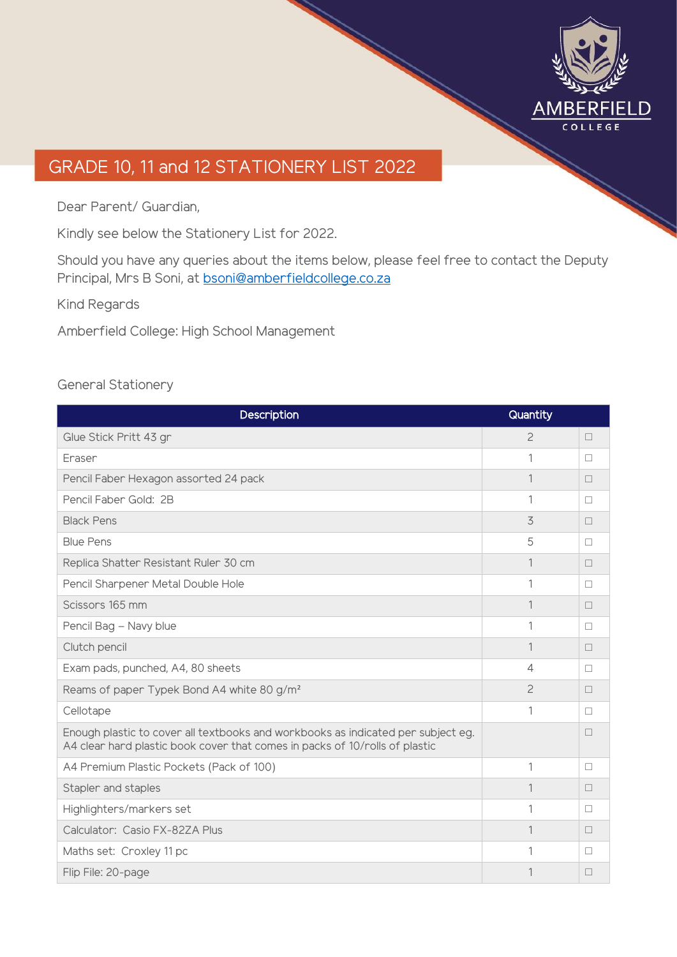

## GRADE 10, 11 and 12 STATIONERY LIST 2022

Dear Parent/ Guardian,

Kindly see below the Stationery List for 2022.

Should you have any queries about the items below, please feel free to contact the Deputy Principal, Mrs B Soni, at [bsoni@amberfieldcollege.co.za](mailto:bsoni@amberfieldcollege.co.za)

Kind Regards

Amberfield College: High School Management

#### General Stationery

| Description                                                                                                                                                     | Quantity       |   |
|-----------------------------------------------------------------------------------------------------------------------------------------------------------------|----------------|---|
| Glue Stick Pritt 43 gr                                                                                                                                          | $\mathcal{P}$  | П |
| Fraser                                                                                                                                                          | 1              | П |
| Pencil Faber Hexagon assorted 24 pack                                                                                                                           | 1              | П |
| Pencil Faber Gold: 2B                                                                                                                                           | 1              | П |
| <b>Black Pens</b>                                                                                                                                               | 3              | П |
| <b>Blue Pens</b>                                                                                                                                                | 5              | П |
| Replica Shatter Resistant Ruler 30 cm                                                                                                                           | 1              | П |
| Pencil Sharpener Metal Double Hole                                                                                                                              | 1              | П |
| Scissors 165 mm                                                                                                                                                 | 1              | П |
| Pencil Bag - Navy blue                                                                                                                                          | 1              | П |
| Clutch pencil                                                                                                                                                   | 1              | П |
| Exam pads, punched, A4, 80 sheets                                                                                                                               | $\overline{4}$ | П |
| Reams of paper Typek Bond A4 white 80 g/m <sup>2</sup>                                                                                                          | 2              | П |
| Cellotape                                                                                                                                                       | 1              | П |
| Enough plastic to cover all textbooks and workbooks as indicated per subject eg.<br>A4 clear hard plastic book cover that comes in packs of 10/rolls of plastic |                | П |
| A4 Premium Plastic Pockets (Pack of 100)                                                                                                                        | 1              | П |
| Stapler and staples                                                                                                                                             | 1              | П |
| Highlighters/markers set                                                                                                                                        | 1              | П |
| Calculator: Casio FX-82ZA Plus                                                                                                                                  | 1              | П |
| Maths set: Croxley 11 pc                                                                                                                                        | 1              | П |
| Flip File: 20-page                                                                                                                                              | 1              | П |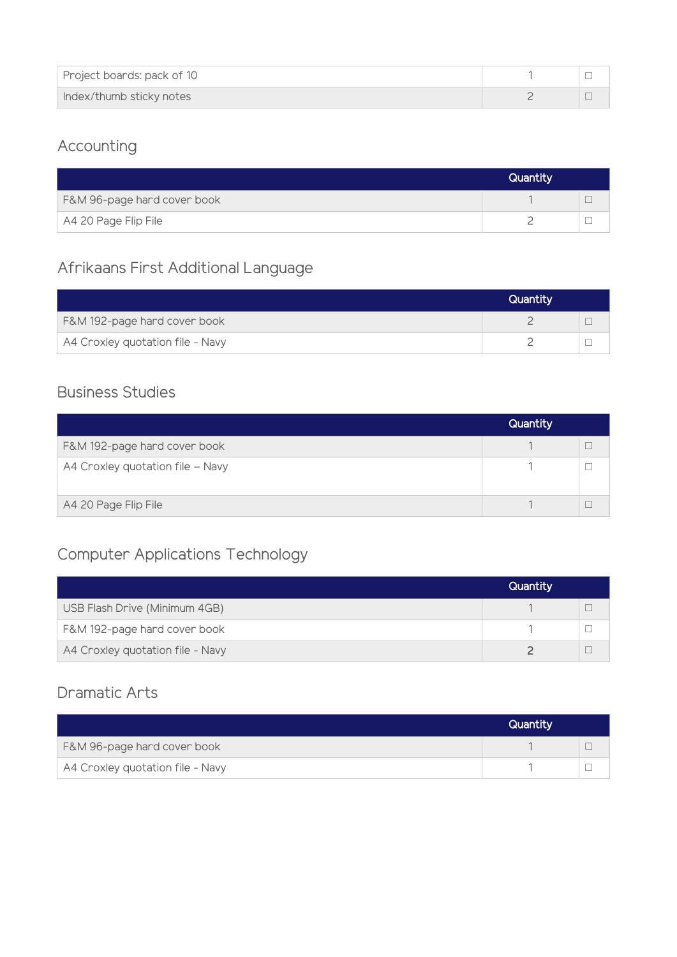| Project boards: pack of 10 |  |
|----------------------------|--|
| Index/thumb sticky notes   |  |

## Accounting

|                             | <b>Quantity</b> |  |
|-----------------------------|-----------------|--|
| F&M 96-page hard cover book |                 |  |
| A4 20 Page Flip File        |                 |  |

#### Afrikaans First Additional Language

|                                  | Quantity |  |
|----------------------------------|----------|--|
| F&M 192-page hard cover book     |          |  |
| A4 Croxley quotation file - Navy |          |  |

#### Business Studies

|                                  | Quantity |  |
|----------------------------------|----------|--|
| F&M 192-page hard cover book     |          |  |
| A4 Croxley quotation file - Navy |          |  |
| A4 20 Page Flip File             |          |  |

#### Computer Applications Technology

|                                  | Quantity |  |
|----------------------------------|----------|--|
| USB Flash Drive (Minimum 4GB)    |          |  |
| F&M 192-page hard cover book     |          |  |
| A4 Croxley quotation file - Navy |          |  |

#### Dramatic Arts

|                                  | Quantity |  |
|----------------------------------|----------|--|
| F&M 96-page hard cover book      |          |  |
| A4 Croxley quotation file - Navy |          |  |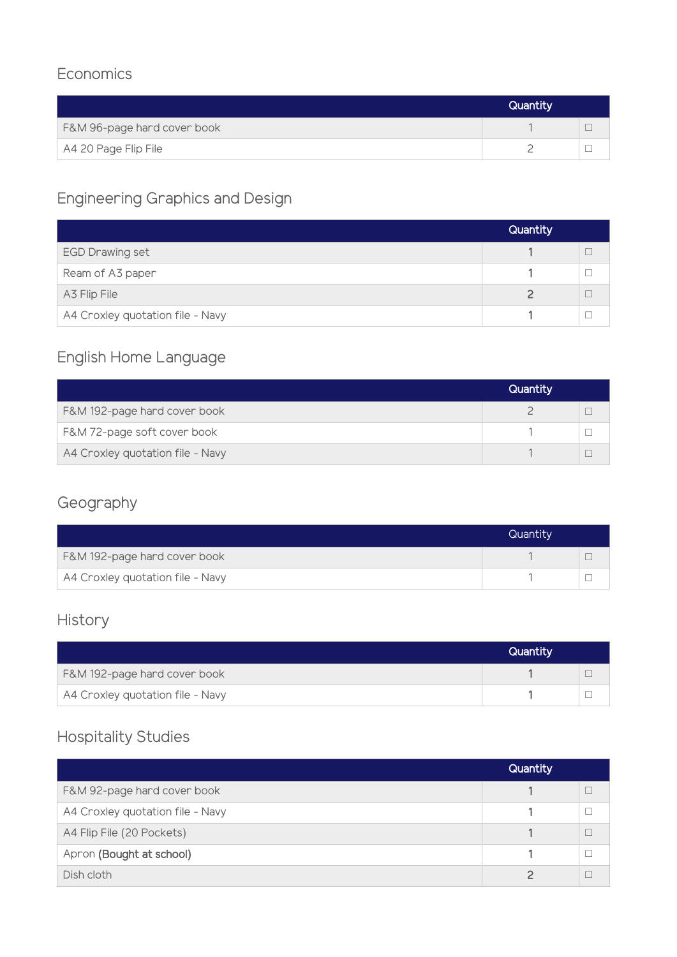#### **Economics**

|                             | Quantity |  |
|-----------------------------|----------|--|
| F&M 96-page hard cover book |          |  |
| A4 20 Page Flip File        |          |  |

# Engineering Graphics and Design

|                                  | <b>Quantity</b> |  |
|----------------------------------|-----------------|--|
| <b>EGD Drawing set</b>           |                 |  |
| Ream of A3 paper                 |                 |  |
| A3 Flip File                     |                 |  |
| A4 Croxley quotation file - Navy |                 |  |

## English Home Language

|                                  | Quantity |  |
|----------------------------------|----------|--|
| F&M 192-page hard cover book     |          |  |
| F&M 72-page soft cover book      |          |  |
| A4 Croxley quotation file - Navy |          |  |

## Geography

|                                  | Quantity |  |
|----------------------------------|----------|--|
| F&M 192-page hard cover book     |          |  |
| A4 Croxley quotation file - Navy |          |  |

## History

|                                  | Quantity |  |
|----------------------------------|----------|--|
| F&M 192-page hard cover book     |          |  |
| A4 Croxley quotation file - Navy |          |  |

#### Hospitality Studies

|                                  | Quantity |  |
|----------------------------------|----------|--|
| F&M 92-page hard cover book      |          |  |
| A4 Croxley quotation file - Navy |          |  |
| A4 Flip File (20 Pockets)        |          |  |
| Apron (Bought at school)         |          |  |
| Dish cloth                       |          |  |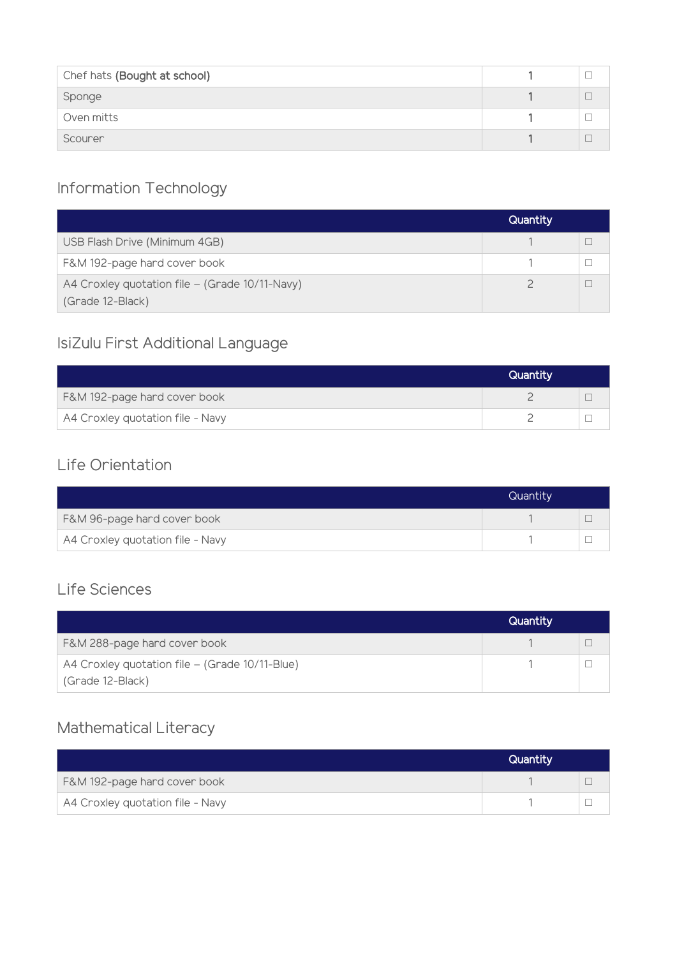| Chef hats (Bought at school) |  |
|------------------------------|--|
| Sponge                       |  |
| Oven mitts                   |  |
| Scourer                      |  |

## Information Technology

|                                                                    | Quantity |  |
|--------------------------------------------------------------------|----------|--|
| USB Flash Drive (Minimum 4GB)                                      |          |  |
| F&M 192-page hard cover book                                       |          |  |
| A4 Croxley quotation file - (Grade 10/11-Navy)<br>(Grade 12-Black) |          |  |

# IsiZulu First Additional Language

|                                  | Quantity |  |
|----------------------------------|----------|--|
| F&M 192-page hard cover book     |          |  |
| A4 Croxley quotation file - Navy |          |  |

#### Life Orientation

|                                  | Quantity |  |
|----------------------------------|----------|--|
| F&M 96-page hard cover book      |          |  |
| A4 Croxley quotation file - Navy |          |  |

#### Life Sciences

| Quantity |  |
|----------|--|
|          |  |
|          |  |
|          |  |

#### Mathematical Literacy

|                                  | Quantity |  |
|----------------------------------|----------|--|
| F&M 192-page hard cover book     |          |  |
| A4 Croxley quotation file - Navy |          |  |